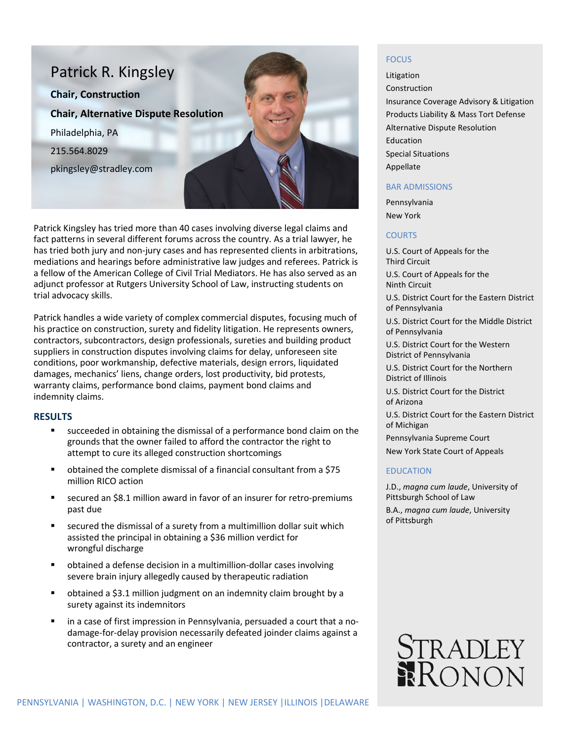

Patrick Kingsley has tried more than 40 cases involving diverse legal claims and fact patterns in several different forums across the country. As a trial lawyer, he has tried both jury and non-jury cases and has represented clients in arbitrations, mediations and hearings before administrative law judges and referees. Patrick is a fellow of the American College of Civil Trial Mediators. He has also served as an adjunct professor at Rutgers University School of Law, instructing students on trial advocacy skills.

Patrick handles a wide variety of complex commercial disputes, focusing much of his practice on construction, surety and fidelity litigation. He represents owners, contractors, subcontractors, design professionals, sureties and building product suppliers in construction disputes involving claims for delay, unforeseen site conditions, poor workmanship, defective materials, design errors, liquidated damages, mechanics' liens, change orders, lost productivity, bid protests, warranty claims, performance bond claims, payment bond claims and indemnity claims.

### **RESULTS**

- succeeded in obtaining the dismissal of a performance bond claim on the grounds that the owner failed to afford the contractor the right to attempt to cure its alleged construction shortcomings
- obtained the complete dismissal of a financial consultant from a \$75 million RICO action
- secured an \$8.1 million award in favor of an insurer for retro-premiums past due
- secured the dismissal of a surety from a multimillion dollar suit which assisted the principal in obtaining a \$36 million verdict for wrongful discharge
- obtained a defense decision in a multimillion-dollar cases involving severe brain injury allegedly caused by therapeutic radiation
- obtained a \$3.1 million judgment on an indemnity claim brought by a surety against its indemnitors
- in a case of first impression in Pennsylvania, persuaded a court that a nodamage-for-delay provision necessarily defeated joinder claims against a contractor, a surety and an engineer

#### **FOCUS**

Litigation Construction Insurance Coverage Advisory & Litigation Products Liability & Mass Tort Defense Alternative Dispute Resolution Education Special Situations Appellate

## BAR ADMISSIONS

Pennsylvania New York

#### **COURTS**

U.S. Court of Appeals for the Third Circuit

U.S. Court of Appeals for the Ninth Circuit

U.S. District Court for the Eastern District of Pennsylvania

U.S. District Court for the Middle District of Pennsylvania

U.S. District Court for the Western District of Pennsylvania

U.S. District Court for the Northern District of Illinois

U.S. District Court for the District of Arizona

U.S. District Court for the Eastern District of Michigan

Pennsylvania Supreme Court New York State Court of Appeals

## EDUCATION

J.D., *magna cum laude*, University of Pittsburgh School of Law B.A., *magna cum laude*, University of Pittsburgh

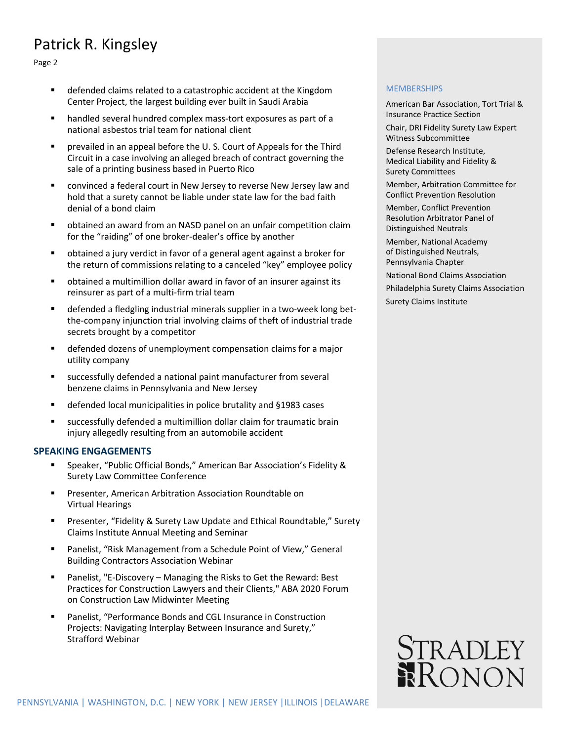# Patrick R. Kingsley

Page 2

- defended claims related to a catastrophic accident at the Kingdom Center Project, the largest building ever built in Saudi Arabia
- handled several hundred complex mass-tort exposures as part of a national asbestos trial team for national client
- prevailed in an appeal before the U. S. Court of Appeals for the Third Circuit in a case involving an alleged breach of contract governing the sale of a printing business based in Puerto Rico
- convinced a federal court in New Jersey to reverse New Jersey law and hold that a surety cannot be liable under state law for the bad faith denial of a bond claim
- obtained an award from an NASD panel on an unfair competition claim for the "raiding" of one broker-dealer's office by another
- obtained a jury verdict in favor of a general agent against a broker for the return of commissions relating to a canceled "key" employee policy
- obtained a multimillion dollar award in favor of an insurer against its reinsurer as part of a multi-firm trial team
- defended a fledgling industrial minerals supplier in a two-week long betthe-company injunction trial involving claims of theft of industrial trade secrets brought by a competitor
- defended dozens of unemployment compensation claims for a major utility company
- successfully defended a national paint manufacturer from several benzene claims in Pennsylvania and New Jersey
- defended local municipalities in police brutality and §1983 cases
- successfully defended a multimillion dollar claim for traumatic brain injury allegedly resulting from an automobile accident

#### **SPEAKING ENGAGEMENTS**

- Speaker, "Public Official Bonds," American Bar Association's Fidelity & Surety Law Committee Conference
- Presenter, American Arbitration Association Roundtable on Virtual Hearings
- Presenter, "Fidelity & Surety Law Update and Ethical Roundtable," Surety Claims Institute Annual Meeting and Seminar
- Panelist, "Risk Management from a Schedule Point of View," General Building Contractors Association Webinar
- Panelist, "E-Discovery Managing the Risks to Get the Reward: Best Practices for Construction Lawyers and their Clients," ABA 2020 Forum on Construction Law Midwinter Meeting
- Panelist, "Performance Bonds and CGL Insurance in Construction Projects: Navigating Interplay Between Insurance and Surety," Strafford Webinar

#### **MEMBERSHIPS**

American Bar Association, Tort Trial & Insurance Practice Section

Chair, DRI Fidelity Surety Law Expert Witness Subcommittee

Defense Research Institute, Medical Liability and Fidelity & Surety Committees

Member, Arbitration Committee for Conflict Prevention Resolution

Member, Conflict Prevention Resolution Arbitrator Panel of Distinguished Neutrals

Member, National Academy of Distinguished Neutrals, Pennsylvania Chapter

National Bond Claims Association

Philadelphia Surety Claims Association

Surety Claims Institute

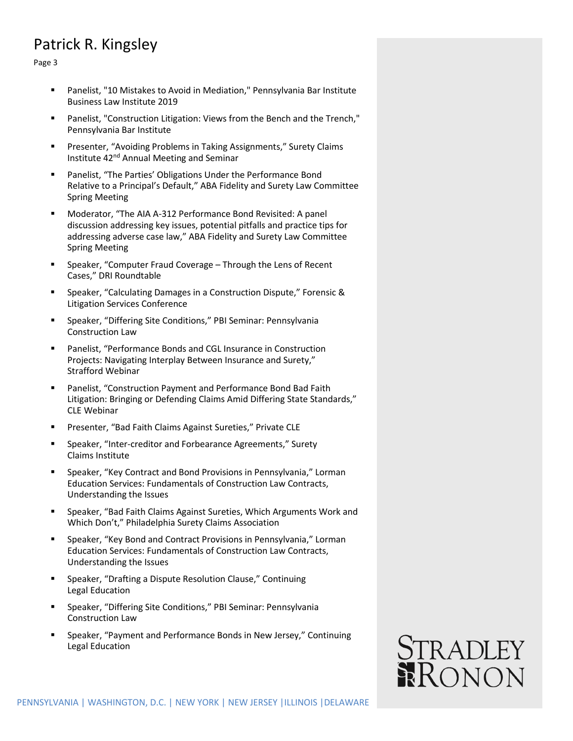# Patrick R. Kingsley

Page 3

- Panelist, "10 Mistakes to Avoid in Mediation," Pennsylvania Bar Institute Business Law Institute 2019
- Panelist, "Construction Litigation: Views from the Bench and the Trench," Pennsylvania Bar Institute
- **Presenter, "Avoiding Problems in Taking Assignments," Surety Claims** Institute 42nd Annual Meeting and Seminar
- Panelist, "The Parties' Obligations Under the Performance Bond Relative to a Principal's Default," ABA Fidelity and Surety Law Committee Spring Meeting
- Moderator, "The AIA A-312 Performance Bond Revisited: A panel discussion addressing key issues, potential pitfalls and practice tips for addressing adverse case law," ABA Fidelity and Surety Law Committee Spring Meeting
- Speaker, "Computer Fraud Coverage Through the Lens of Recent Cases," DRI Roundtable
- Speaker, "Calculating Damages in a Construction Dispute," Forensic & Litigation Services Conference
- Speaker, "Differing Site Conditions," PBI Seminar: Pennsylvania Construction Law
- Panelist, "Performance Bonds and CGL Insurance in Construction Projects: Navigating Interplay Between Insurance and Surety," Strafford Webinar
- Panelist, "Construction Payment and Performance Bond Bad Faith Litigation: Bringing or Defending Claims Amid Differing State Standards," CLE Webinar
- Presenter, "Bad Faith Claims Against Sureties," Private CLE
- Speaker, "Inter-creditor and Forbearance Agreements," Surety Claims Institute
- Speaker, "Key Contract and Bond Provisions in Pennsylvania," Lorman Education Services: Fundamentals of Construction Law Contracts, Understanding the Issues
- Speaker, "Bad Faith Claims Against Sureties, Which Arguments Work and Which Don't," Philadelphia Surety Claims Association
- **Speaker, "Key Bond and Contract Provisions in Pennsylvania," Lorman** Education Services: Fundamentals of Construction Law Contracts, Understanding the Issues
- Speaker, "Drafting a Dispute Resolution Clause," Continuing Legal Education
- Speaker, "Differing Site Conditions," PBI Seminar: Pennsylvania Construction Law
- Speaker, "Payment and Performance Bonds in New Jersey," Continuing Legal Education